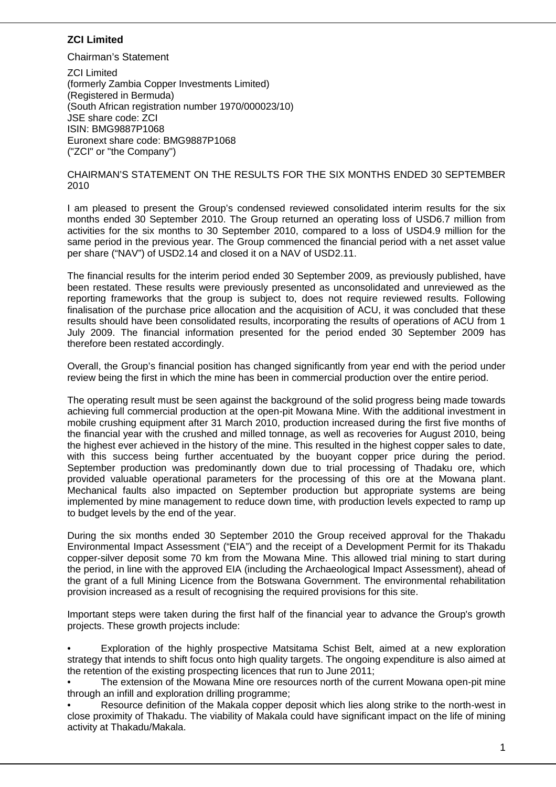# **ZCI Limited**

Chairman's Statement

ZCI Limited (formerly Zambia Copper Investments Limited) (Registered in Bermuda) (South African registration number 1970/000023/10) JSE share code: ZCI ISIN: BMG9887P1068 Euronext share code: BMG9887P1068 ("ZCI" or "the Company")

#### CHAIRMAN'S STATEMENT ON THE RESULTS FOR THE SIX MONTHS ENDED 30 SEPTEMBER 2010

I am pleased to present the Group's condensed reviewed consolidated interim results for the six months ended 30 September 2010. The Group returned an operating loss of USD6.7 million from activities for the six months to 30 September 2010, compared to a loss of USD4.9 million for the same period in the previous year. The Group commenced the financial period with a net asset value per share ("NAV") of USD2.14 and closed it on a NAV of USD2.11.

The financial results for the interim period ended 30 September 2009, as previously published, have been restated. These results were previously presented as unconsolidated and unreviewed as the reporting frameworks that the group is subject to, does not require reviewed results. Following finalisation of the purchase price allocation and the acquisition of ACU, it was concluded that these results should have been consolidated results, incorporating the results of operations of ACU from 1 July 2009. The financial information presented for the period ended 30 September 2009 has therefore been restated accordingly.

Overall, the Group's financial position has changed significantly from year end with the period under review being the first in which the mine has been in commercial production over the entire period.

The operating result must be seen against the background of the solid progress being made towards achieving full commercial production at the open-pit Mowana Mine. With the additional investment in mobile crushing equipment after 31 March 2010, production increased during the first five months of the financial year with the crushed and milled tonnage, as well as recoveries for August 2010, being the highest ever achieved in the history of the mine. This resulted in the highest copper sales to date, with this success being further accentuated by the buoyant copper price during the period. September production was predominantly down due to trial processing of Thadaku ore, which provided valuable operational parameters for the processing of this ore at the Mowana plant. Mechanical faults also impacted on September production but appropriate systems are being implemented by mine management to reduce down time, with production levels expected to ramp up to budget levels by the end of the year.

During the six months ended 30 September 2010 the Group received approval for the Thakadu Environmental Impact Assessment ("EIA") and the receipt of a Development Permit for its Thakadu copper-silver deposit some 70 km from the Mowana Mine. This allowed trial mining to start during the period, in line with the approved EIA (including the Archaeological Impact Assessment), ahead of the grant of a full Mining Licence from the Botswana Government. The environmental rehabilitation provision increased as a result of recognising the required provisions for this site.

Important steps were taken during the first half of the financial year to advance the Group's growth projects. These growth projects include:

• Exploration of the highly prospective Matsitama Schist Belt, aimed at a new exploration strategy that intends to shift focus onto high quality targets. The ongoing expenditure is also aimed at the retention of the existing prospecting licences that run to June 2011;

• The extension of the Mowana Mine ore resources north of the current Mowana open-pit mine through an infill and exploration drilling programme;

• Resource definition of the Makala copper deposit which lies along strike to the north-west in close proximity of Thakadu. The viability of Makala could have significant impact on the life of mining activity at Thakadu/Makala.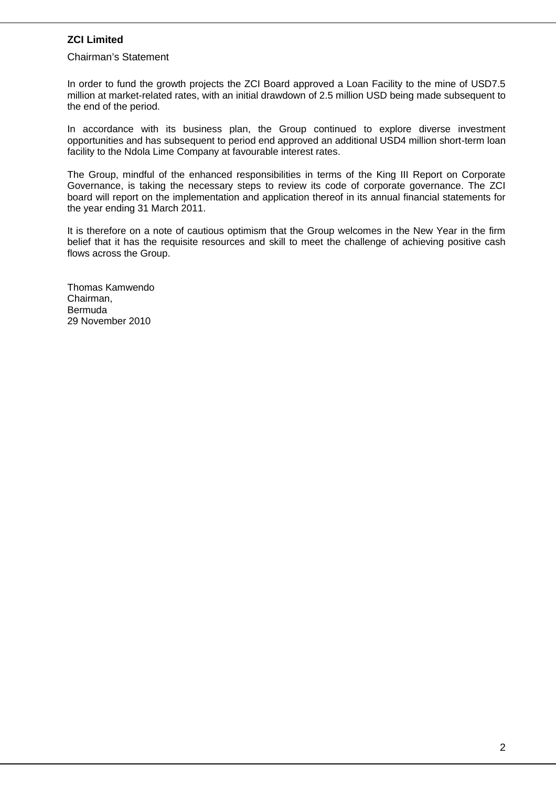# **ZCI Limited**

#### Chairman's Statement

In order to fund the growth projects the ZCI Board approved a Loan Facility to the mine of USD7.5 million at market-related rates, with an initial drawdown of 2.5 million USD being made subsequent to the end of the period.

In accordance with its business plan, the Group continued to explore diverse investment opportunities and has subsequent to period end approved an additional USD4 million short-term loan facility to the Ndola Lime Company at favourable interest rates.

The Group, mindful of the enhanced responsibilities in terms of the King III Report on Corporate Governance, is taking the necessary steps to review its code of corporate governance. The ZCI board will report on the implementation and application thereof in its annual financial statements for the year ending 31 March 2011.

It is therefore on a note of cautious optimism that the Group welcomes in the New Year in the firm belief that it has the requisite resources and skill to meet the challenge of achieving positive cash flows across the Group.

Thomas Kamwendo Chairman, Bermuda 29 November 2010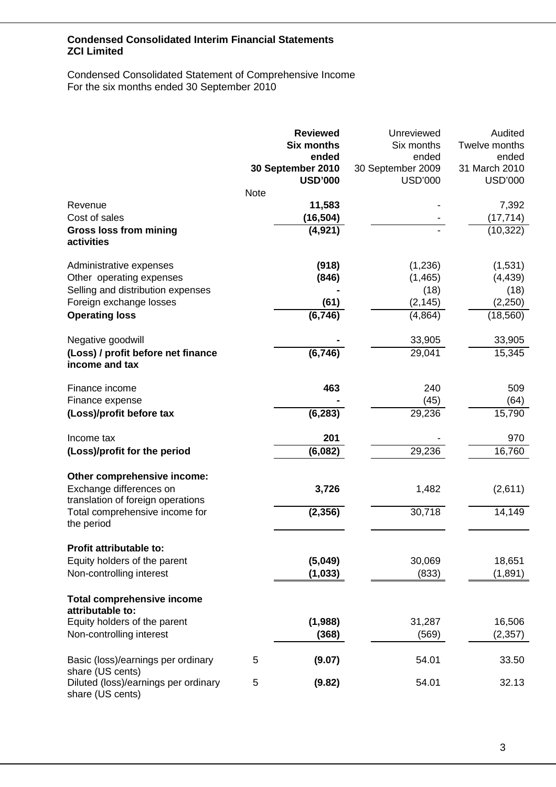### Condensed Consolidated Statement of Comprehensive Income For the six months ended 30 September 2010

|                                                                                             | <b>Note</b> | <b>Reviewed</b><br><b>Six months</b><br>ended<br>30 September 2010<br><b>USD'000</b> | Unreviewed<br>Six months<br>ended<br>30 September 2009<br><b>USD'000</b> | Audited<br>Twelve months<br>ended<br>31 March 2010<br><b>USD'000</b> |
|---------------------------------------------------------------------------------------------|-------------|--------------------------------------------------------------------------------------|--------------------------------------------------------------------------|----------------------------------------------------------------------|
| Revenue<br>Cost of sales                                                                    |             | 11,583<br>(16,504)                                                                   |                                                                          | 7,392<br>(17, 714)                                                   |
| <b>Gross loss from mining</b>                                                               |             | (4, 921)                                                                             |                                                                          | (10, 322)                                                            |
| activities                                                                                  |             |                                                                                      |                                                                          |                                                                      |
| Administrative expenses                                                                     |             | (918)                                                                                | (1,236)                                                                  | (1,531)                                                              |
| Other operating expenses                                                                    |             | (846)                                                                                | (1, 465)                                                                 | (4, 439)                                                             |
| Selling and distribution expenses                                                           |             |                                                                                      | (18)                                                                     | (18)                                                                 |
| Foreign exchange losses                                                                     |             | (61)                                                                                 | (2, 145)                                                                 | (2, 250)                                                             |
| <b>Operating loss</b>                                                                       |             | (6, 746)                                                                             | (4,864)                                                                  | (18, 560)                                                            |
| Negative goodwill                                                                           |             |                                                                                      | 33,905                                                                   | 33,905                                                               |
| (Loss) / profit before net finance<br>income and tax                                        |             | (6, 746)                                                                             | 29,041                                                                   | 15,345                                                               |
| Finance income                                                                              |             | 463                                                                                  | 240                                                                      | 509                                                                  |
| Finance expense                                                                             |             |                                                                                      | (45)                                                                     | (64)                                                                 |
| (Loss)/profit before tax                                                                    |             | (6, 283)                                                                             | 29,236                                                                   | 15,790                                                               |
| Income tax                                                                                  |             | 201                                                                                  |                                                                          | 970                                                                  |
| (Loss)/profit for the period                                                                |             | (6,082)                                                                              | 29,236                                                                   | 16,760                                                               |
| Other comprehensive income:<br>Exchange differences on<br>translation of foreign operations |             | 3,726                                                                                | 1,482                                                                    | (2,611)                                                              |
| Total comprehensive income for<br>the period                                                |             | (2, 356)                                                                             | 30,718                                                                   | 14,149                                                               |
| Profit attributable to:                                                                     |             |                                                                                      |                                                                          |                                                                      |
| Equity holders of the parent                                                                |             | (5,049)                                                                              | 30,069                                                                   | 18,651                                                               |
| Non-controlling interest                                                                    |             | (1, 033)                                                                             | (833)                                                                    | (1,891)                                                              |
| <b>Total comprehensive income</b><br>attributable to:                                       |             |                                                                                      |                                                                          |                                                                      |
| Equity holders of the parent                                                                |             | (1,988)                                                                              | 31,287                                                                   | 16,506                                                               |
| Non-controlling interest                                                                    |             | (368)                                                                                | (569)                                                                    | (2, 357)                                                             |
| Basic (loss)/earnings per ordinary<br>share (US cents)                                      | 5           | (9.07)                                                                               | 54.01                                                                    | 33.50                                                                |
| Diluted (loss)/earnings per ordinary<br>share (US cents)                                    | 5           | (9.82)                                                                               | 54.01                                                                    | 32.13                                                                |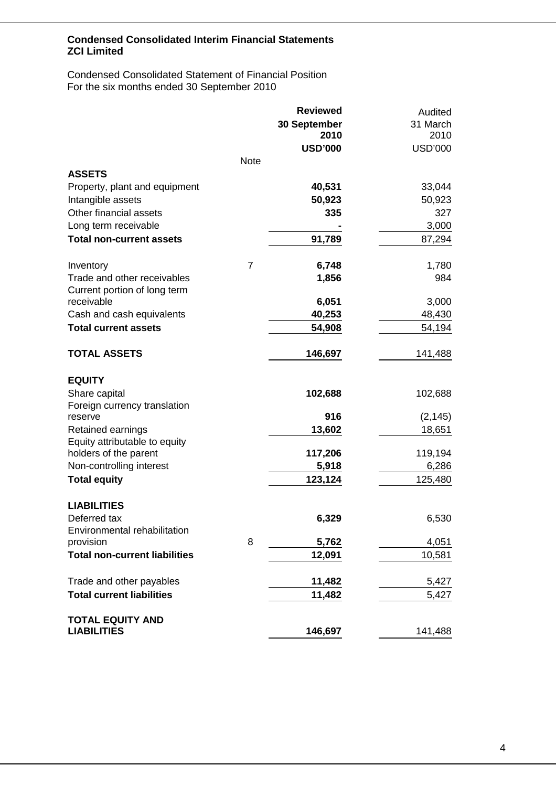Condensed Consolidated Statement of Financial Position For the six months ended 30 September 2010

|                                      |                | <b>Reviewed</b>     | Audited        |
|--------------------------------------|----------------|---------------------|----------------|
|                                      |                | <b>30 September</b> | 31 March       |
|                                      |                | 2010                | 2010           |
|                                      |                | <b>USD'000</b>      | <b>USD'000</b> |
|                                      | <b>Note</b>    |                     |                |
| <b>ASSETS</b>                        |                |                     |                |
| Property, plant and equipment        |                | 40,531              | 33,044         |
| Intangible assets                    |                | 50,923              | 50,923         |
| Other financial assets               |                | 335                 | 327            |
| Long term receivable                 |                |                     | 3,000          |
| <b>Total non-current assets</b>      |                | 91,789              | 87,294         |
| Inventory                            | $\overline{7}$ | 6,748               | 1,780          |
| Trade and other receivables          |                | 1,856               | 984            |
| Current portion of long term         |                |                     |                |
| receivable                           |                | 6,051               | 3,000          |
| Cash and cash equivalents            |                | 40,253              | 48,430         |
| <b>Total current assets</b>          |                | 54,908              | 54,194         |
| <b>TOTAL ASSETS</b>                  |                | 146,697             | 141,488        |
| <b>EQUITY</b>                        |                |                     |                |
| Share capital                        |                | 102,688             | 102,688        |
| Foreign currency translation         |                |                     |                |
| reserve                              |                | 916                 | (2, 145)       |
| Retained earnings                    |                | 13,602              | 18,651         |
| Equity attributable to equity        |                |                     |                |
| holders of the parent                |                | 117,206             | 119,194        |
| Non-controlling interest             |                | 5,918               | 6,286          |
| <b>Total equity</b>                  |                | 123,124             | 125,480        |
| <b>LIABILITIES</b>                   |                |                     |                |
| Deferred tax                         |                | 6,329               | 6,530          |
| Environmental rehabilitation         |                |                     |                |
| provision                            | 8              | 5,762               | 4,051          |
| <b>Total non-current liabilities</b> |                | 12,091              | 10,581         |
| Trade and other payables             |                | 11,482              | 5,427          |
| <b>Total current liabilities</b>     |                | 11,482              | 5,427          |
| <b>TOTAL EQUITY AND</b>              |                |                     |                |
| <b>LIABILITIES</b>                   |                | 146,697             | 141,488        |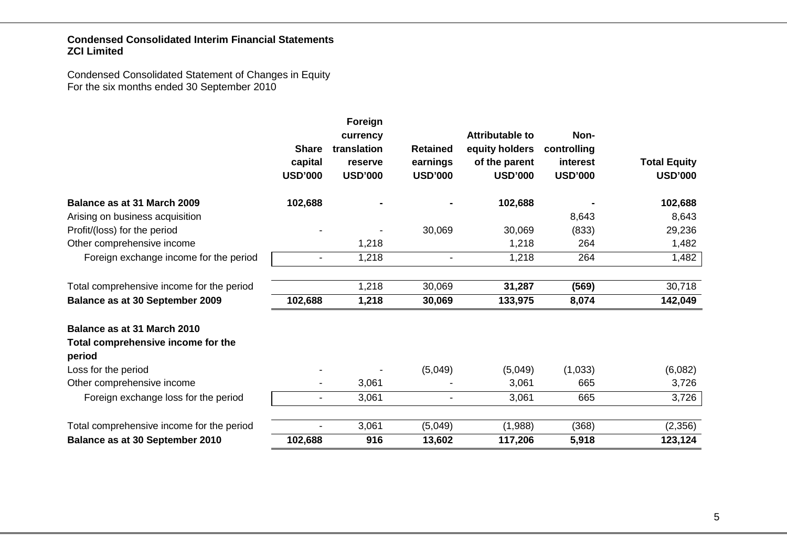Condensed Consolidated Statement of Changes in Equity For the six months ended 30 September 2010

|                                                                             | <b>Share</b><br>capital<br><b>USD'000</b> | Foreign<br>currency<br>translation<br>reserve<br><b>USD'000</b> | <b>Retained</b><br>earnings<br><b>USD'000</b> | <b>Attributable to</b><br>equity holders<br>of the parent<br><b>USD'000</b> | Non-<br>controlling<br>interest<br><b>USD'000</b> | <b>Total Equity</b><br><b>USD'000</b> |
|-----------------------------------------------------------------------------|-------------------------------------------|-----------------------------------------------------------------|-----------------------------------------------|-----------------------------------------------------------------------------|---------------------------------------------------|---------------------------------------|
| Balance as at 31 March 2009                                                 | 102,688                                   |                                                                 |                                               | 102,688                                                                     |                                                   | 102,688                               |
| Arising on business acquisition                                             |                                           |                                                                 |                                               |                                                                             | 8,643                                             | 8,643                                 |
| Profit/(loss) for the period                                                |                                           |                                                                 | 30,069                                        | 30,069                                                                      | (833)                                             | 29,236                                |
| Other comprehensive income                                                  |                                           | 1,218                                                           |                                               | 1,218                                                                       | 264                                               | 1,482                                 |
| Foreign exchange income for the period                                      | $\blacksquare$                            | 1,218                                                           | $\blacksquare$                                | 1,218                                                                       | 264                                               | 1,482                                 |
| Total comprehensive income for the period                                   |                                           | 1,218                                                           | 30,069                                        | 31,287                                                                      | (569)                                             | 30,718                                |
| Balance as at 30 September 2009                                             | 102,688                                   | 1,218                                                           | 30,069                                        | 133,975                                                                     | 8,074                                             | 142,049                               |
| Balance as at 31 March 2010<br>Total comprehensive income for the<br>period |                                           |                                                                 |                                               |                                                                             |                                                   |                                       |
| Loss for the period                                                         |                                           |                                                                 | (5,049)                                       | (5,049)                                                                     | (1,033)                                           | (6,082)                               |
| Other comprehensive income                                                  |                                           | 3,061                                                           |                                               | 3,061                                                                       | 665                                               | 3,726                                 |
| Foreign exchange loss for the period                                        | $\overline{\phantom{0}}$                  | 3,061                                                           | -                                             | 3,061                                                                       | 665                                               | 3,726                                 |
| Total comprehensive income for the period                                   | $\blacksquare$                            | 3,061                                                           | (5,049)                                       | (1,988)                                                                     | (368)                                             | (2,356)                               |
| Balance as at 30 September 2010                                             | 102,688                                   | 916                                                             | 13,602                                        | 117,206                                                                     | 5,918                                             | 123,124                               |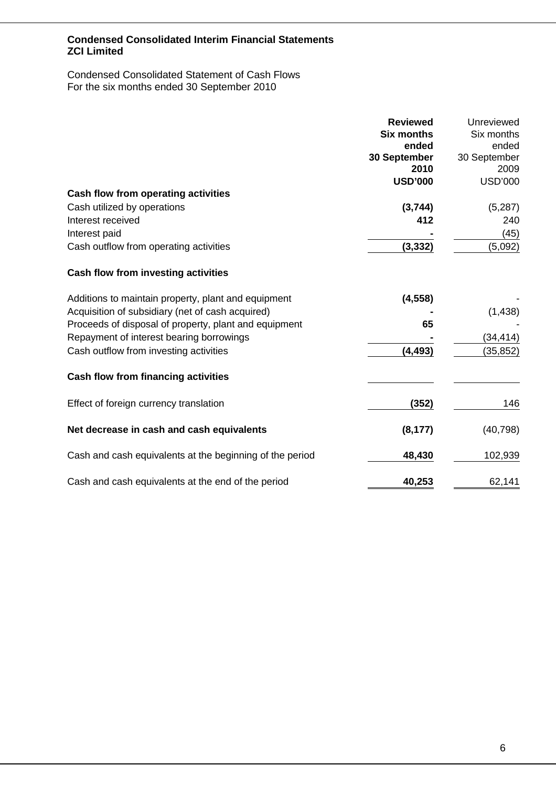Condensed Consolidated Statement of Cash Flows For the six months ended 30 September 2010

|                                                          | <b>Reviewed</b><br><b>Six months</b> | Unreviewed<br>Six months |
|----------------------------------------------------------|--------------------------------------|--------------------------|
|                                                          | ended                                | ended                    |
|                                                          | 30 September                         | 30 September             |
|                                                          | 2010                                 | 2009                     |
|                                                          | <b>USD'000</b>                       | <b>USD'000</b>           |
| Cash flow from operating activities                      |                                      |                          |
| Cash utilized by operations                              | (3,744)                              | (5,287)                  |
| Interest received                                        | 412                                  | 240                      |
| Interest paid                                            |                                      | (45)                     |
| Cash outflow from operating activities                   | (3, 332)                             | (5,092)                  |
| Cash flow from investing activities                      |                                      |                          |
| Additions to maintain property, plant and equipment      | (4, 558)                             |                          |
| Acquisition of subsidiary (net of cash acquired)         |                                      | (1, 438)                 |
| Proceeds of disposal of property, plant and equipment    | 65                                   |                          |
| Repayment of interest bearing borrowings                 |                                      | (34, 414)                |
| Cash outflow from investing activities                   | (4,493)                              | (35, 852)                |
| <b>Cash flow from financing activities</b>               |                                      |                          |
| Effect of foreign currency translation                   | (352)                                | 146                      |
| Net decrease in cash and cash equivalents                | (8, 177)                             | (40, 798)                |
| Cash and cash equivalents at the beginning of the period | 48,430                               | 102,939                  |
| Cash and cash equivalents at the end of the period       | 40,253                               | 62,141                   |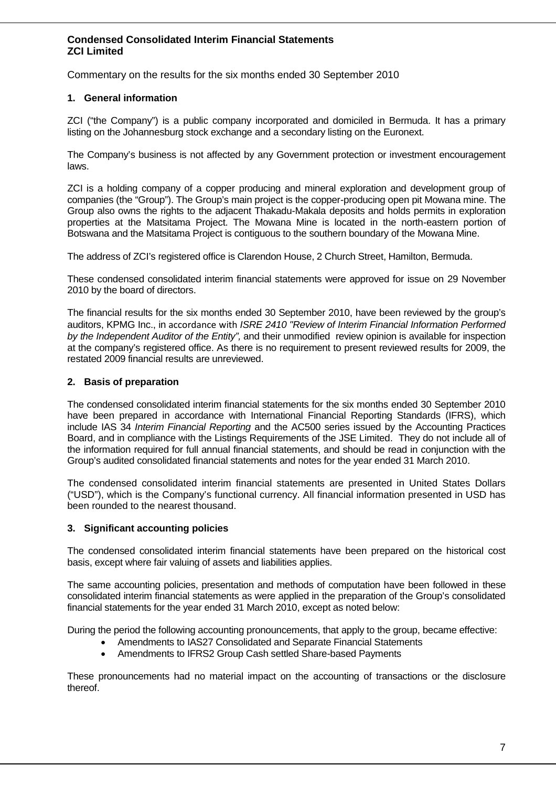Commentary on the results for the six months ended 30 September 2010

### **1. General information**

ZCI ("the Company") is a public company incorporated and domiciled in Bermuda. It has a primary listing on the Johannesburg stock exchange and a secondary listing on the Euronext.

The Company's business is not affected by any Government protection or investment encouragement laws.

ZCI is a holding company of a copper producing and mineral exploration and development group of companies (the "Group"). The Group's main project is the copper-producing open pit Mowana mine. The Group also owns the rights to the adjacent Thakadu-Makala deposits and holds permits in exploration properties at the Matsitama Project. The Mowana Mine is located in the north-eastern portion of Botswana and the Matsitama Project is contiguous to the southern boundary of the Mowana Mine.

The address of ZCI's registered office is Clarendon House, 2 Church Street, Hamilton, Bermuda.

These condensed consolidated interim financial statements were approved for issue on 29 November 2010 by the board of directors.

The financial results for the six months ended 30 September 2010, have been reviewed by the group's auditors, KPMG Inc., in accordance with *ISRE 2410 "Review of Interim Financial Information Performed by the Independent Auditor of the Entity",* and their unmodified review opinion is available for inspection at the company's registered office. As there is no requirement to present reviewed results for 2009, the restated 2009 financial results are unreviewed.

### **2. Basis of preparation**

The condensed consolidated interim financial statements for the six months ended 30 September 2010 have been prepared in accordance with International Financial Reporting Standards (IFRS), which include IAS 34 *Interim Financial Reporting* and the AC500 series issued by the Accounting Practices Board, and in compliance with the Listings Requirements of the JSE Limited. They do not include all of the information required for full annual financial statements, and should be read in conjunction with the Group's audited consolidated financial statements and notes for the year ended 31 March 2010.

The condensed consolidated interim financial statements are presented in United States Dollars ("USD"), which is the Company's functional currency. All financial information presented in USD has been rounded to the nearest thousand.

#### **3. Significant accounting policies**

The condensed consolidated interim financial statements have been prepared on the historical cost basis, except where fair valuing of assets and liabilities applies.

The same accounting policies, presentation and methods of computation have been followed in these consolidated interim financial statements as were applied in the preparation of the Group's consolidated financial statements for the year ended 31 March 2010, except as noted below:

During the period the following accounting pronouncements, that apply to the group, became effective:

- Amendments to IAS27 Consolidated and Separate Financial Statements
- Amendments to IFRS2 Group Cash settled Share-based Payments

These pronouncements had no material impact on the accounting of transactions or the disclosure thereof.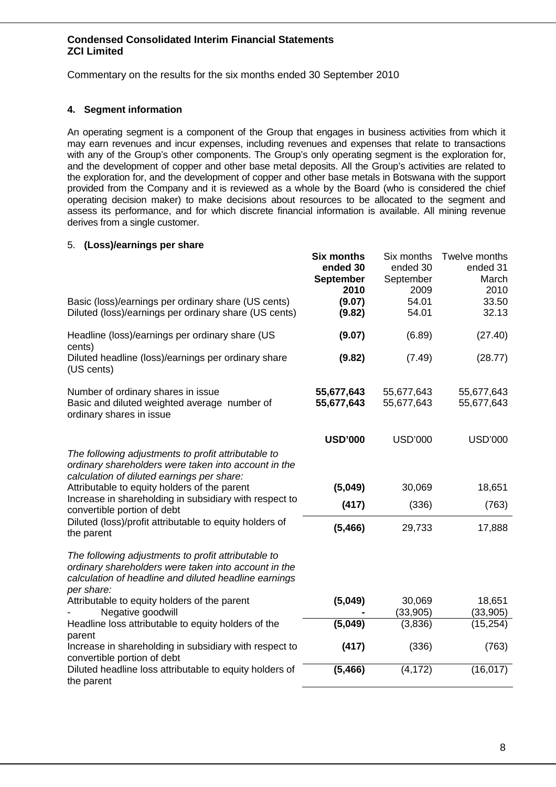Commentary on the results for the six months ended 30 September 2010

### **4. Segment information**

An operating segment is a component of the Group that engages in business activities from which it may earn revenues and incur expenses, including revenues and expenses that relate to transactions with any of the Group's other components. The Group's only operating segment is the exploration for, and the development of copper and other base metal deposits. All the Group's activities are related to the exploration for, and the development of copper and other base metals in Botswana with the support provided from the Company and it is reviewed as a whole by the Board (who is considered the chief operating decision maker) to make decisions about resources to be allocated to the segment and assess its performance, and for which discrete financial information is available. All mining revenue derives from a single customer.

### 5. **(Loss)/earnings per share**

|                                                                                                                                                                                    | <b>Six months</b><br>ended 30<br><b>September</b><br>2010 | Six months<br>ended 30<br>September<br>2009 | Twelve months<br>ended 31<br>March<br>2010 |
|------------------------------------------------------------------------------------------------------------------------------------------------------------------------------------|-----------------------------------------------------------|---------------------------------------------|--------------------------------------------|
| Basic (loss)/earnings per ordinary share (US cents)<br>Diluted (loss)/earnings per ordinary share (US cents)                                                                       | (9.07)<br>(9.82)                                          | 54.01<br>54.01                              | 33.50<br>32.13                             |
| Headline (loss)/earnings per ordinary share (US<br>cents)                                                                                                                          | (9.07)                                                    | (6.89)                                      | (27.40)                                    |
| Diluted headline (loss)/earnings per ordinary share<br>(US cents)                                                                                                                  | (9.82)                                                    | (7.49)                                      | (28.77)                                    |
| Number of ordinary shares in issue<br>Basic and diluted weighted average number of<br>ordinary shares in issue                                                                     | 55,677,643<br>55,677,643                                  | 55,677,643<br>55,677,643                    | 55,677,643<br>55,677,643                   |
|                                                                                                                                                                                    | <b>USD'000</b>                                            | <b>USD'000</b>                              | <b>USD'000</b>                             |
| The following adjustments to profit attributable to<br>ordinary shareholders were taken into account in the<br>calculation of diluted earnings per share:                          |                                                           |                                             |                                            |
| Attributable to equity holders of the parent                                                                                                                                       | (5,049)                                                   | 30,069                                      | 18,651                                     |
| Increase in shareholding in subsidiary with respect to<br>convertible portion of debt                                                                                              | (417)                                                     | (336)                                       | (763)                                      |
| Diluted (loss)/profit attributable to equity holders of<br>the parent                                                                                                              | (5, 466)                                                  | 29,733                                      | 17,888                                     |
| The following adjustments to profit attributable to<br>ordinary shareholders were taken into account in the<br>calculation of headline and diluted headline earnings<br>per share: |                                                           |                                             |                                            |
| Attributable to equity holders of the parent<br>Negative goodwill                                                                                                                  | (5,049)                                                   | 30,069<br>(33, 905)                         | 18,651<br>(33,905)                         |
| Headline loss attributable to equity holders of the<br>parent                                                                                                                      | (5,049)                                                   | (3,836)                                     | (15, 254)                                  |
| Increase in shareholding in subsidiary with respect to<br>convertible portion of debt                                                                                              | (417)                                                     | (336)                                       | (763)                                      |
| Diluted headline loss attributable to equity holders of<br>the parent                                                                                                              | (5, 466)                                                  | (4, 172)                                    | (16, 017)                                  |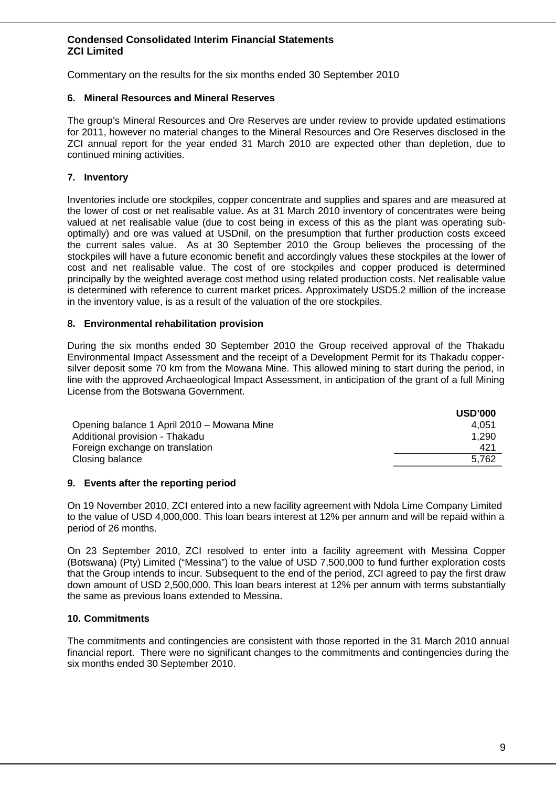Commentary on the results for the six months ended 30 September 2010

#### **6. Mineral Resources and Mineral Reserves**

The group's Mineral Resources and Ore Reserves are under review to provide updated estimations for 2011, however no material changes to the Mineral Resources and Ore Reserves disclosed in the ZCI annual report for the year ended 31 March 2010 are expected other than depletion, due to continued mining activities.

## **7. Inventory**

Inventories include ore stockpiles, copper concentrate and supplies and spares and are measured at the lower of cost or net realisable value. As at 31 March 2010 inventory of concentrates were being valued at net realisable value (due to cost being in excess of this as the plant was operating suboptimally) and ore was valued at USDnil, on the presumption that further production costs exceed the current sales value. As at 30 September 2010 the Group believes the processing of the stockpiles will have a future economic benefit and accordingly values these stockpiles at the lower of cost and net realisable value. The cost of ore stockpiles and copper produced is determined principally by the weighted average cost method using related production costs. Net realisable value is determined with reference to current market prices. Approximately USD5.2 million of the increase in the inventory value, is as a result of the valuation of the ore stockpiles.

### **8. Environmental rehabilitation provision**

During the six months ended 30 September 2010 the Group received approval of the Thakadu Environmental Impact Assessment and the receipt of a Development Permit for its Thakadu coppersilver deposit some 70 km from the Mowana Mine. This allowed mining to start during the period, in line with the approved Archaeological Impact Assessment, in anticipation of the grant of a full Mining License from the Botswana Government.

|                                            | <b>USD'000</b> |
|--------------------------------------------|----------------|
| Opening balance 1 April 2010 – Mowana Mine | 4.051          |
| Additional provision - Thakadu             | 1,290          |
| Foreign exchange on translation            | 421            |
| Closing balance                            | 5.762          |
|                                            |                |

#### **9. Events after the reporting period**

On 19 November 2010, ZCI entered into a new facility agreement with Ndola Lime Company Limited to the value of USD 4,000,000. This loan bears interest at 12% per annum and will be repaid within a period of 26 months.

On 23 September 2010, ZCI resolved to enter into a facility agreement with Messina Copper (Botswana) (Pty) Limited ("Messina") to the value of USD 7,500,000 to fund further exploration costs that the Group intends to incur. Subsequent to the end of the period, ZCI agreed to pay the first draw down amount of USD 2,500,000. This loan bears interest at 12% per annum with terms substantially the same as previous loans extended to Messina.

#### **10. Commitments**

The commitments and contingencies are consistent with those reported in the 31 March 2010 annual financial report. There were no significant changes to the commitments and contingencies during the six months ended 30 September 2010.